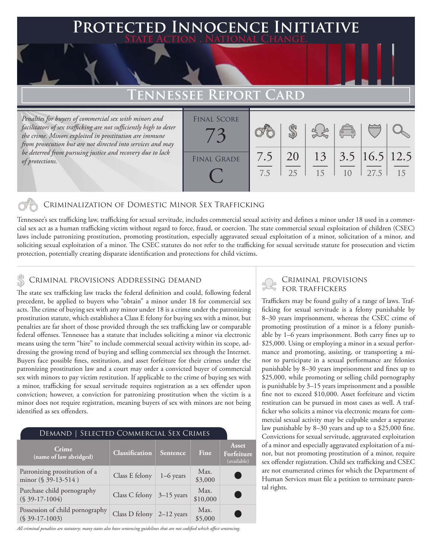### **PTED INNOCENCE INITIATIVE State Action . National Change.**

## **Tennessee Report Card**

*Penalties for buyers of commercial sex with minors and facilitators of sex trafficking are not sufficiently high to deter the crime. Minors exploited in prostitution are immune from prosecution but are not directed into services and may be deterred from pursuing justice and recovery due to lack of protections.*

| <b>FINAL SCORE</b> |            |          |    | $\begin{pmatrix} 0 \\ 0 \end{pmatrix}$  |      |    |
|--------------------|------------|----------|----|-----------------------------------------|------|----|
| <b>FINAL GRADE</b> | 7.5<br>7.5 | 20<br>25 | 15 | $13 \mid 3.5 \mid 16.5 \mid 12.5$<br>10 | 27.5 | 15 |

### Criminalization of Domestic Minor Sex Trafficking

Tennessee's sex trafficking law, trafficking for sexual servitude, includes commercial sexual activity and defines a minor under 18 used in a commercial sex act as a human trafficking victim without regard to force, fraud, or coercion. The state commercial sexual exploitation of children (CSEC) laws include patronizing prostitution, promoting prostitution, especially aggravated sexual exploitation of a minor, solicitation of a minor, and soliciting sexual exploitation of a minor. The CSEC statutes do not refer to the trafficking for sexual servitude statute for prosecution and victim protection, potentially creating disparate identification and protections for child victims.

### CRIMINAL PROVISIONS ADDRESSING DEMAND

The state sex trafficking law tracks the federal definition and could, following federal precedent, be applied to buyers who "obtain" a minor under 18 for commercial sex acts. The crime of buying sex with any minor under 18 is a crime under the patronizing prostitution statute, which establishes a Class E felony for buying sex with a minor, but penalties are far short of those provided through the sex trafficking law or comparable federal offenses. Tennessee has a statute that includes soliciting a minor via electronic means using the term "hire" to include commercial sexual activity within its scope, addressing the growing trend of buying and selling commercial sex through the Internet. Buyers face possible fines, restitution, and asset forfeiture for their crimes under the patronizing prostitution law and a court may order a convicted buyer of commercial sex with minors to pay victim restitution. If applicable to the crime of buying sex with a minor, trafficking for sexual servitude requires registration as a sex offender upon conviction; however, a conviction for patronizing prostitution when the victim is a minor does not require registration, meaning buyers of sex with minors are not being identified as sex offenders.

| DEMAND   SELECTED COMMERCIAL SEX CRIMES                 |                             |             |                  |                                    |  |  |
|---------------------------------------------------------|-----------------------------|-------------|------------------|------------------------------------|--|--|
| Crime<br>(name of law abridged)                         | <b>Classification</b>       | Sentence    | Fine             | Asset<br>Forfeiture<br>(available) |  |  |
| Patronizing prostitution of a<br>minor $(\S 39-13-514)$ | Class E felony              | $1-6$ years | Max.<br>\$3,000  |                                    |  |  |
| Purchase child pornography<br>$($39-17-1004)$           | Class C felony $3-15$ years |             | Max.<br>\$10,000 |                                    |  |  |
| Possession of child pornography<br>$(S$ 39-17-1003)     | Class D felony $2-12$ years |             | Max.<br>\$5,000  |                                    |  |  |

*All criminal penalties are statutory; many states also have sentencing guidelines that are not codified which affect sentencing.* 

# Criminal provisions

Traffickers may be found guilty of a range of laws. Trafficking for sexual servitude is a felony punishable by 8–30 years imprisonment, whereas the CSEC crime of promoting prostitution of a minor is a felony punishable by 1–6 years imprisonment. Both carry fines up to \$25,000. Using or employing a minor in a sexual performance and promoting, assisting, or transporting a minor to participate in a sexual performance are felonies punishable by 8–30 years imprisonment and fines up to \$25,000, while promoting or selling child pornography is punishable by 3–15 years imprisonment and a possible fine not to exceed \$10,000. Asset forfeiture and victim restitution can be pursued in most cases as well. A trafficker who solicits a minor via electronic means for commercial sexual activity may be culpable under a separate law punishable by 8–30 years and up to a \$25,000 fine. Convictions for sexual servitude, aggravated exploitation of a minor and especially aggravated exploitation of a minor, but not promoting prostitution of a minor, require sex offender registration. Child sex trafficking and CSEC are not enumerated crimes for which the Department of Human Services must file a petition to terminate parental rights.